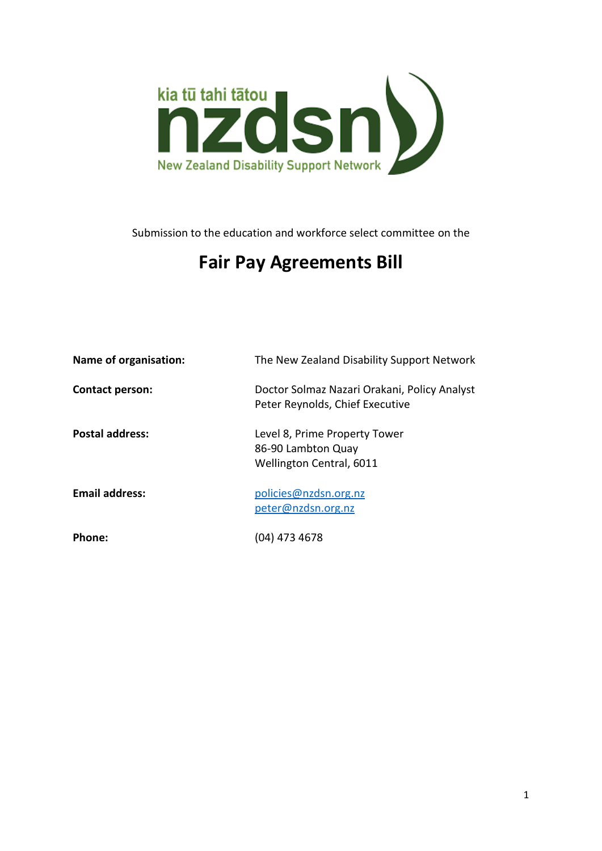

Submission to the education and workforce select committee on the

# **Fair Pay Agreements Bill**

| Name of organisation:  | The New Zealand Disability Support Network                                      |
|------------------------|---------------------------------------------------------------------------------|
| <b>Contact person:</b> | Doctor Solmaz Nazari Orakani, Policy Analyst<br>Peter Reynolds, Chief Executive |
| <b>Postal address:</b> | Level 8, Prime Property Tower<br>86-90 Lambton Quay<br>Wellington Central, 6011 |
| <b>Email address:</b>  | policies@nzdsn.org.nz<br>peter@nzdsn.org.nz                                     |
| Phone:                 | (04) 473 4678                                                                   |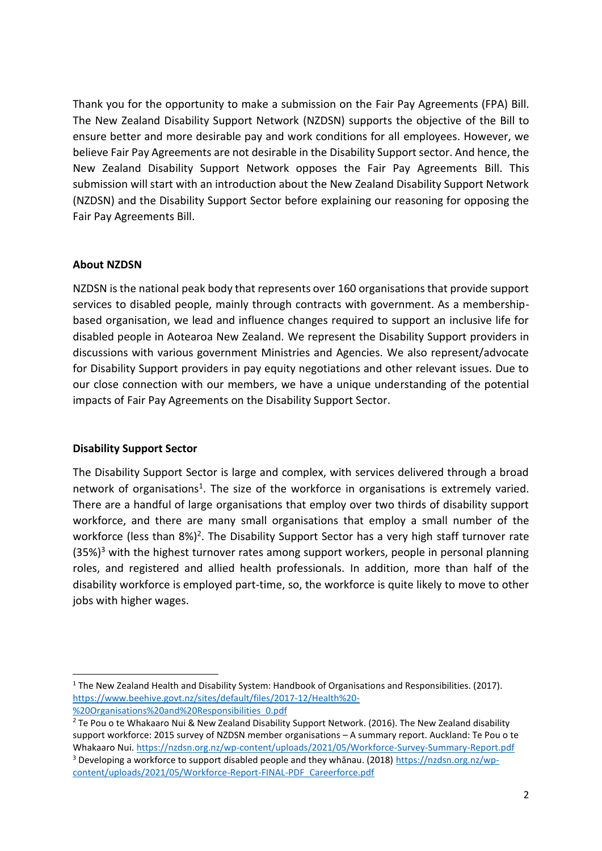Thank you for the opportunity to make a submission on the Fair Pay Agreements (FPA) Bill. The New Zealand Disability Support Network (NZDSN) supports the objective of the Bill to ensure better and more desirable pay and work conditions for all employees. However, we believe Fair Pay Agreements are not desirable in the Disability Support sector. And hence, the New Zealand Disability Support Network opposes the Fair Pay Agreements Bill. This submission will start with an introduction about the New Zealand Disability Support Network (NZDSN) and the Disability Support Sector before explaining our reasoning for opposing the Fair Pay Agreements Bill.

## **About NZDSN**

NZDSN is the national peak body that represents over 160 organisations that provide support services to disabled people, mainly through contracts with government. As a membershipbased organisation, we lead and influence changes required to support an inclusive life for disabled people in Aotearoa New Zealand. We represent the Disability Support providers in discussions with various government Ministries and Agencies. We also represent/advocate for Disability Support providers in pay equity negotiations and other relevant issues. Due to our close connection with our members, we have a unique understanding of the potential impacts of Fair Pay Agreements on the Disability Support Sector.

#### **Disability Support Sector**

The Disability Support Sector is large and complex, with services delivered through a broad network of organisations<sup>1</sup>. The size of the workforce in organisations is extremely varied. There are a handful of large organisations that employ over two thirds of disability support workforce, and there are many small organisations that employ a small number of the workforce (less than 8%)<sup>2</sup>. The Disability Support Sector has a very high staff turnover rate  $(35%)<sup>3</sup>$  with the highest turnover rates among support workers, people in personal planning roles, and registered and allied health professionals. In addition, more than half of the disability workforce is employed part-time, so, the workforce is quite likely to move to other jobs with higher wages.

<sup>&</sup>lt;sup>1</sup> The New Zealand Health and Disability System: Handbook of Organisations and Responsibilities. (2017). [https://www.beehive.govt.nz/sites/default/files/2017-12/Health%20-](https://www.beehive.govt.nz/sites/default/files/2017-12/Health%20-%20Organisations%20and%20Responsibilities_0.pdf) [%20Organisations%20and%20Responsibilities\\_0.pdf](https://www.beehive.govt.nz/sites/default/files/2017-12/Health%20-%20Organisations%20and%20Responsibilities_0.pdf)

<sup>&</sup>lt;sup>2</sup> Te Pou o te Whakaaro Nui & New Zealand Disability Support Network. (2016). The New Zealand disability support workforce: 2015 survey of NZDSN member organisations – A summary report. Auckland: Te Pou o te Whakaaro Nui. <https://nzdsn.org.nz/wp-content/uploads/2021/05/Workforce-Survey-Summary-Report.pdf> <sup>3</sup> Developing a workforce to support disabled people and they whānau. (2018) [https://nzdsn.org.nz/wp](https://nzdsn.org.nz/wp-content/uploads/2021/05/Workforce-Report-FINAL-PDF_Careerforce.pdf)[content/uploads/2021/05/Workforce-Report-FINAL-PDF\\_Careerforce.pdf](https://nzdsn.org.nz/wp-content/uploads/2021/05/Workforce-Report-FINAL-PDF_Careerforce.pdf)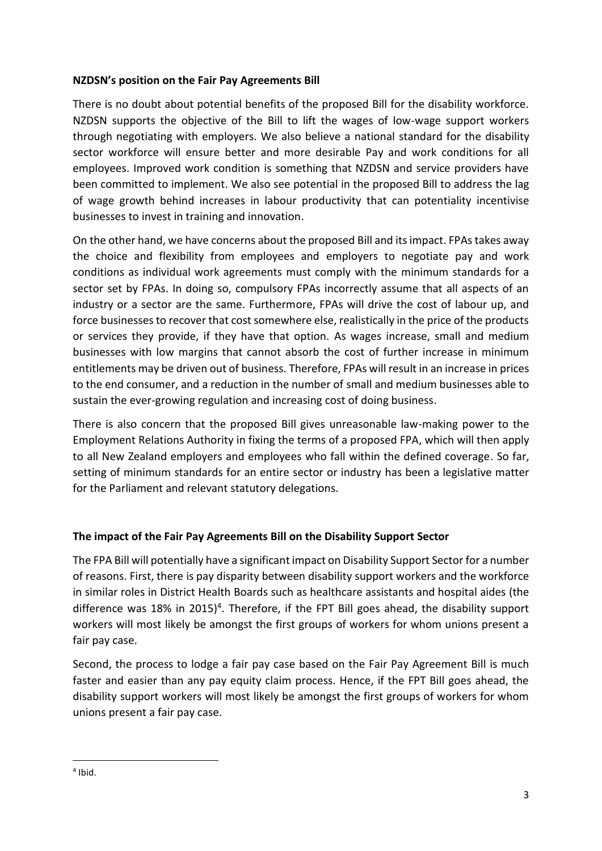## **NZDSN's position on the Fair Pay Agreements Bill**

There is no doubt about potential benefits of the proposed Bill for the disability workforce. NZDSN supports the objective of the Bill to lift the wages of low-wage support workers through negotiating with employers. We also believe a national standard for the disability sector workforce will ensure better and more desirable Pay and work conditions for all employees. Improved work condition is something that NZDSN and service providers have been committed to implement. We also see potential in the proposed Bill to address the lag of wage growth behind increases in labour productivity that can potentiality incentivise businesses to invest in training and innovation.

On the other hand, we have concerns about the proposed Bill and its impact. FPAs takes away the choice and flexibility from employees and employers to negotiate pay and work conditions as individual work agreements must comply with the minimum standards for a sector set by FPAs. In doing so, compulsory FPAs incorrectly assume that all aspects of an industry or a sector are the same. Furthermore, FPAs will drive the cost of labour up, and force businesses to recover that cost somewhere else, realistically in the price of the products or services they provide, if they have that option. As wages increase, small and medium businesses with low margins that cannot absorb the cost of further increase in minimum entitlements may be driven out of business. Therefore, FPAs will result in an increase in prices to the end consumer, and a reduction in the number of small and medium businesses able to sustain the ever-growing regulation and increasing cost of doing business.

There is also concern that the proposed Bill gives unreasonable law-making power to the Employment Relations Authority in fixing the terms of a proposed FPA, which will then apply to all New Zealand employers and employees who fall within the defined coverage. So far, setting of minimum standards for an entire sector or industry has been a legislative matter for the Parliament and relevant statutory delegations.

## **The impact of the Fair Pay Agreements Bill on the Disability Support Sector**

The FPA Bill will potentially have a significant impact on Disability Support Sector for a number of reasons. First, there is pay disparity between disability support workers and the workforce in similar roles in District Health Boards such as healthcare assistants and hospital aides (the difference was 18% in 2015)<sup>4</sup>. Therefore, if the FPT Bill goes ahead, the disability support workers will most likely be amongst the first groups of workers for whom unions present a fair pay case.

Second, the process to lodge a fair pay case based on the Fair Pay Agreement Bill is much faster and easier than any pay equity claim process. Hence, if the FPT Bill goes ahead, the disability support workers will most likely be amongst the first groups of workers for whom unions present a fair pay case.

<sup>4</sup> Ibid.